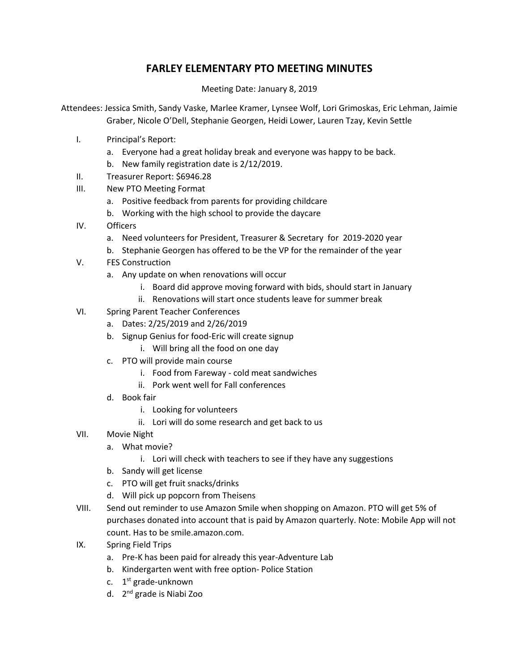## **FARLEY ELEMENTARY PTO MEETING MINUTES**

Meeting Date: January 8, 2019

Attendees: Jessica Smith, Sandy Vaske, Marlee Kramer, Lynsee Wolf, Lori Grimoskas, Eric Lehman, Jaimie Graber, Nicole O'Dell, Stephanie Georgen, Heidi Lower, Lauren Tzay, Kevin Settle

- I. Principal's Report:
	- a. Everyone had a great holiday break and everyone was happy to be back.
	- b. New family registration date is 2/12/2019.
- II. Treasurer Report: \$6946.28
- III. New PTO Meeting Format
	- a. Positive feedback from parents for providing childcare
	- b. Working with the high school to provide the daycare
- IV. Officers
	- a. Need volunteers for President, Treasurer & Secretary for 2019-2020 year
	- b. Stephanie Georgen has offered to be the VP for the remainder of the year
- V. FES Construction
	- a. Any update on when renovations will occur
		- i. Board did approve moving forward with bids, should start in January
		- ii. Renovations will start once students leave for summer break
- VI. Spring Parent Teacher Conferences
	- a. Dates: 2/25/2019 and 2/26/2019
	- b. Signup Genius for food-Eric will create signup
		- i. Will bring all the food on one day
	- c. PTO will provide main course
		- i. Food from Fareway cold meat sandwiches
		- ii. Pork went well for Fall conferences
	- d. Book fair
		- i. Looking for volunteers
		- ii. Lori will do some research and get back to us
- VII. Movie Night
	- a. What movie?
		- i. Lori will check with teachers to see if they have any suggestions
	- b. Sandy will get license
	- c. PTO will get fruit snacks/drinks
	- d. Will pick up popcorn from Theisens
- VIII. Send out reminder to use Amazon Smile when shopping on Amazon. PTO will get 5% of purchases donated into account that is paid by Amazon quarterly. Note: Mobile App will not count. Has to be smile.amazon.com.
- IX. Spring Field Trips
	- a. Pre-K has been paid for already this year-Adventure Lab
	- b. Kindergarten went with free option- Police Station
	- c. 1<sup>st</sup> grade-unknown
	- d. 2<sup>nd</sup> grade is Niabi Zoo